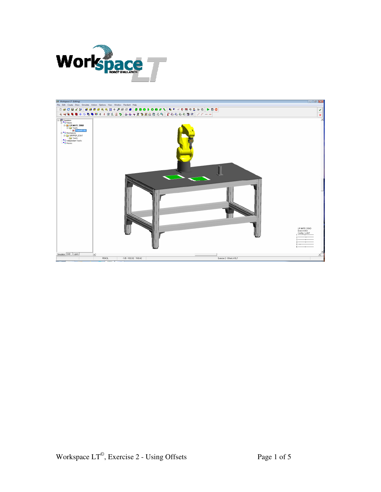

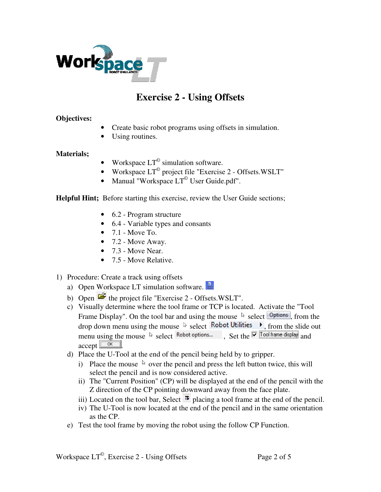

## **Exercise 2 - Using Offsets**

## **Objectives:**

- Create basic robot programs using offsets in simulation.
- Using routines.

## **Materials;**

- Workspace  $LT^{\circ}$  simulation software.
- Workspace  $LT^{\circ}$  project file "Exercise 2 Offsets. WSLT"
- Manual "Workspace  $LT^{\circ}$  User Guide.pdf".

**Helpful Hint;** Before starting this exercise, review the User Guide sections;

- 6.2 Program structure
- 6.4 Variable types and consants
- 7.1 Move To.
- $\bullet$  7.2 Move Away.
- 7.3 Move Near.
- 7.5 Move Relative.
- 1) Procedure: Create a track using offsets
	- a) Open Workspace LT simulation software.
	- b) Open  $\mathbb{E}$  the project file "Exercise 2 Offsets.WSLT".
	- c) Visually determine where the tool frame or TCP is located. Activate the "Tool Frame Display". On the tool bar and using the mouse  $\&$  select  $\circ$  Options, from the drop down menu using the mouse  $\&$  select Robot Utilities  $\rightarrow$ , from the slide out menu using the mouse  $\sqrt[k]{\text{select}}$  Robot options... Set the  $\sqrt[k]{\text{[Iool frame display}}$  and  $\alpha$ ccept  $\boxed{\alpha}$ .
	- d) Place the U-Tool at the end of the pencil being held by to gripper.
		- i) Place the mouse  $\&$  over the pencil and press the left button twice, this will select the pencil and is now considered active.
		- ii) The "Current Position" (CP) will be displayed at the end of the pencil with the Z direction of the CP pointing downward away from the face plate.
		- iii) Located on the tool bar, Select  $\Phi$  placing a tool frame at the end of the pencil.
		- iv) The U-Tool is now located at the end of the pencil and in the same orientation as the CP.
	- e) Test the tool frame by moving the robot using the follow CP Function.

Workspace  $LT^{\degree}$ , Exercise 2 - Using Offsets Page 2 of 5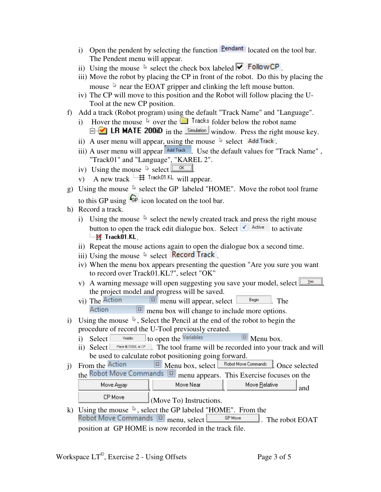- i) Open the pendent by selecting the function  $\frac{\text{Pendant}}{\text{I}}$  located on the tool bar. The Pendent menu will appear.
- ii) Using the mouse  $\sqrt[k]{\text{select}}$  the check box labeled  $\sqrt[k]{\text{FollowCP}}$ .
- iii) Move the robot by placing the CP in front of the robot. Do this by placing the mouse  $\approx$  near the EOAT gripper and clinking the left mouse button.
- iv) The CP will move to this position and the Robot will follow placing the U-Tool at the new CP position.
- f) Add a track (Robot program) using the default "Track Name" and "Language".
	- i) Hover the mouse  $\&$  over the **F** Tracks folder below the robot name  $\Box$  **LR MATE 200iD** in the simulation window. Press the right mouse key.
	- ii) A user menu will appear, using the mouse  $\sqrt[k]{\text{select}}$ . Add Track.
	- iii) A user menu will appear  $\sqrt{\frac{[\text{Add Track}]}{[\text{Add Track}]}}$ . Use the default values for "Track Name", "Track01" and "Language", "KAREL 2".
	- iv) Using the mouse  $\frac{1}{2}$  select  $\boxed{\sqrt{26}}$
	- v) A new track  $\stackrel{\text{def}}{=}$  Track01.KL will appear.
- g) Using the mouse  $\&$  select the GP labeled "HOME". Move the robot tool frame to this GP using  $\bigoplus$  icon located on the tool bar.
- h) Record a track.
	- i) Using the mouse  $\&$  select the newly created track and press the right mouse button to open the track edit dialogue box. Select  $\vee$  Active to activate  $\overline{H}$  Track01.KL
	- ii) Repeat the mouse actions again to open the dialogue box a second time.
	- iii) Using the mouse  $\triangleright$  select Record Track.
	- iv) When the menu box appears presenting the question "Are you sure you want to record over Track01.KL?", select "OK"
	- v) A warning message will open suggesting you save your model, select  $\sqrt{\frac{1}{1-\epsilon}}$ the project model and progress will be saved.
	- vi) The Action  $\boxtimes$  menu will appear, select  $\frac{\text{Begin}}{\text{Action}}$ . The **EX** menu box will change to include more options.
- i) Using the mouse  $\sqrt[k]{ }$ , Select the Pencil at the end of the robot to begin the procedure of record the U-Tool previously created.
	- i) Select  $\sqrt{\frac{Value}{Value}}$  to open the Variables  $\boxed{3}$  Menu box.
	- ii) Select  $\Box$  Place \$UTOOL at CP  $\Box$ . The tool frame will be recorded into your track and will be used to calculate robot positioning going forward.
- j) From the  $\overline{\text{Action}}$   $\overline{\text{[8]}}$  Menu box, select  $\overline{\text{[Bobot Move Commons]}}$ . Once selected the Robot Move Commands  $\boxed{\boxtimes}$  menu appears. This Exercise focuses on the

| Move Away | Move Near               | Move Relative | and |
|-----------|-------------------------|---------------|-----|
| CP Movel  | (Move To) Instructions. |               |     |

k) Using the mouse  $\sqrt{ }$ , select the GP labeled "HOME". From the Robot Move Commands  $\boxed{3}$  menu, select  $\boxed{ }$  GPMove  $\boxed{ }$ . The robot EOAT position at GP HOME is now recorded in the track file.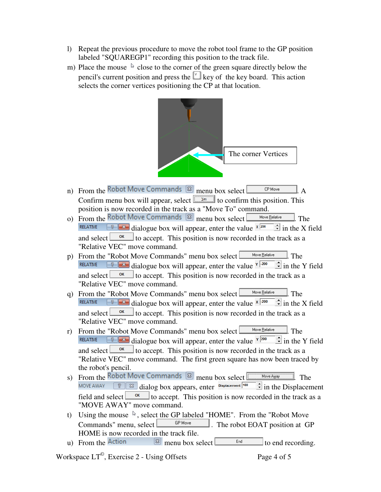- l) Repeat the previous procedure to move the robot tool frame to the GP position labeled "SQUAREGP1" recording this position to the track file.
- m) Place the mouse  $\sqrt[k]{ }$  close to the corner of the green square directly below the pencil's current position and press the  $\mathbb{C}$  key of the key board. This action selects the corner vertices positioning the CP at that location.



Workspace  $LT^{\degree}$ , Exercise 2 - Using Offsets Page 4 of 5